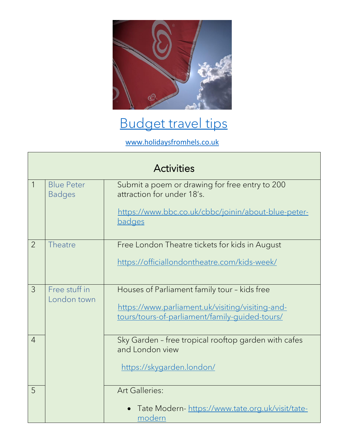

## [Budget travel tips](https://www.holidaysfromhels.co.uk/2020/03/28/budget-travel-uk/)

[www.holidaysfromhels.co.uk](http://www.holidaysfromhels.co.uk/)

| <b>Activities</b> |                                    |                                                                                                                                                      |  |  |
|-------------------|------------------------------------|------------------------------------------------------------------------------------------------------------------------------------------------------|--|--|
| $\mathbf{1}$      | <b>Blue Peter</b><br><b>Badges</b> | Submit a poem or drawing for free entry to 200<br>attraction for under 18's.<br>https://www.bbc.co.uk/cbbc/joinin/about-blue-peter-<br><b>badges</b> |  |  |
| $\overline{2}$    | Theatre                            | Free London Theatre tickets for kids in August<br>https://officiallondontheatre.com/kids-week/                                                       |  |  |
| $\mathcal{S}$     | Free stuff in<br>London town       | Houses of Parliament family tour - kids free<br>https://www.parliament.uk/visiting/visiting-and-<br>tours/tours-of-parliament/family-guided-tours/   |  |  |
| $\overline{4}$    |                                    | Sky Garden - free tropical rooftop garden with cafes<br>and London view<br>https://skygarden.london/                                                 |  |  |
| 5                 |                                    | <b>Art Galleries:</b><br>Tate Modern- https://www.tate.org.uk/visit/tate-<br>modern                                                                  |  |  |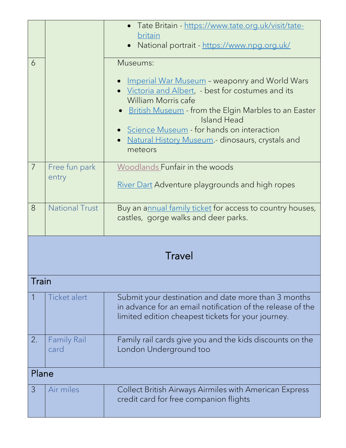|       |                       | • Tate Britain - https://www.tate.org.uk/visit/tate-                                                              |
|-------|-----------------------|-------------------------------------------------------------------------------------------------------------------|
|       |                       | britain                                                                                                           |
|       |                       | National portrait - https://www.npg.org.uk/<br>$\bullet$                                                          |
| 6     |                       | Museums:                                                                                                          |
|       |                       |                                                                                                                   |
|       |                       | <b>Imperial War Museum - weaponry and World Wars</b><br>• Victoria and Albert, - best for costumes and its        |
|       |                       | William Morris cafe                                                                                               |
|       |                       | <b>British Museum - from the Elgin Marbles to an Easter</b>                                                       |
|       |                       | <b>Island Head</b>                                                                                                |
|       |                       | • Science Museum - for hands on interaction                                                                       |
|       |                       | Natural History Museum - dinosaurs, crystals and                                                                  |
|       |                       | meteors                                                                                                           |
| 7     | Free fun park         | Woodlands Funfair in the woods                                                                                    |
|       | entry                 | <b>River Dart Adventure playgrounds and high ropes</b>                                                            |
|       |                       |                                                                                                                   |
| 8     | <b>National Trust</b> | Buy an a <u>nnual family ticket</u> for access to country houses,                                                 |
|       |                       | castles, gorge walks and deer parks.                                                                              |
|       |                       |                                                                                                                   |
|       |                       |                                                                                                                   |
|       |                       | Travel                                                                                                            |
|       |                       |                                                                                                                   |
| Train |                       |                                                                                                                   |
|       |                       |                                                                                                                   |
|       | Ticket alert          | Submit your destination and date more than 3 months<br>in advance for an email notification of the release of the |
|       |                       | limited edition cheapest tickets for your journey.                                                                |
|       |                       |                                                                                                                   |
| 2.    | <b>Family Rail</b>    | Family rail cards give you and the kids discounts on the                                                          |
|       | card                  | London Underground too                                                                                            |
|       |                       |                                                                                                                   |
| Plane |                       |                                                                                                                   |
| 3     | Air miles             | Collect British Airways Airmiles with American Express                                                            |
|       |                       | credit card for free companion flights                                                                            |
|       |                       |                                                                                                                   |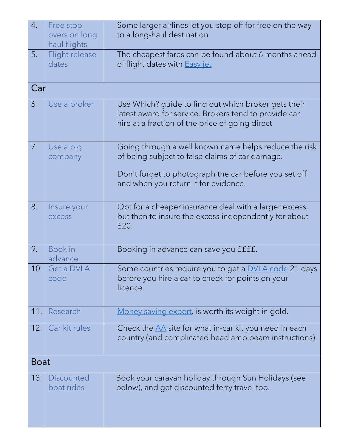| 4.             | Free stop<br>overs on long<br>haul flights | Some larger airlines let you stop off for free on the way<br>to a long-haul destination                                                                           |  |
|----------------|--------------------------------------------|-------------------------------------------------------------------------------------------------------------------------------------------------------------------|--|
| 5.             | Flight release<br>dates                    | The cheapest fares can be found about 6 months ahead<br>of flight dates with <b>Easy</b> jet                                                                      |  |
| Car            |                                            |                                                                                                                                                                   |  |
| 6              | Use a broker                               | Use Which? guide to find out which broker gets their<br>latest award for service. Brokers tend to provide car<br>hire at a fraction of the price of going direct. |  |
| $\overline{7}$ | Use a big<br>company                       | Going through a well known name helps reduce the risk<br>of being subject to false claims of car damage.                                                          |  |
|                |                                            | Don't forget to photograph the car before you set off<br>and when you return it for evidence.                                                                     |  |
| 8.             | Insure your<br>excess                      | Opt for a cheaper insurance deal with a larger excess,<br>but then to insure the excess independently for about<br>£20.                                           |  |
| 9.             | Book in<br>advance                         | Booking in advance can save you ffff.                                                                                                                             |  |
| 10.            | Get a DVLA<br>code                         | Some countries require you to get a <b>DVLA</b> code 21 days<br>before you hire a car to check for points on your<br>licence.                                     |  |
| 11.            | Research                                   | Money saving expert. is worth its weight in gold.                                                                                                                 |  |
| 12.            | Car kit rules                              | Check the $\underline{AA}$ site for what in-car kit you need in each<br>country (and complicated headlamp beam instructions).                                     |  |
|                | <b>Boat</b>                                |                                                                                                                                                                   |  |
| 13             | Discounted<br>boat rides                   | Book your caravan holiday through Sun Holidays (see<br>below), and get discounted ferry travel too.                                                               |  |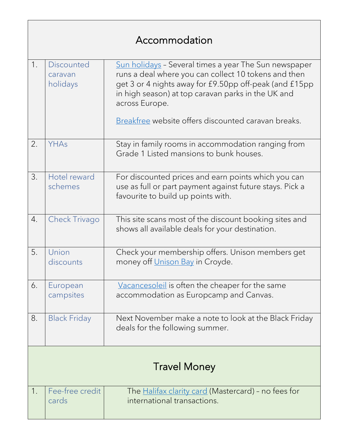## Accommodation

| 1.                  | <b>Discounted</b><br>caravan<br>holidays | Sun holidays - Several times a year The Sun newspaper<br>runs a deal where you can collect 10 tokens and then<br>get 3 or 4 nights away for £9.50pp off-peak (and £15pp<br>in high season) at top caravan parks in the UK and<br>across Europe.<br>Breakfree website offers discounted caravan breaks. |
|---------------------|------------------------------------------|--------------------------------------------------------------------------------------------------------------------------------------------------------------------------------------------------------------------------------------------------------------------------------------------------------|
| 2.                  | YHAs                                     | Stay in family rooms in accommodation ranging from<br>Grade 1 Listed mansions to bunk houses.                                                                                                                                                                                                          |
| 3.                  | Hotel reward<br>schemes                  | For discounted prices and earn points which you can<br>use as full or part payment against future stays. Pick a<br>favourite to build up points with.                                                                                                                                                  |
| $\overline{4}$ .    | <b>Check Trivago</b>                     | This site scans most of the discount booking sites and<br>shows all available deals for your destination.                                                                                                                                                                                              |
| 5.                  | Union<br>discounts                       | Check your membership offers. Unison members get<br>money off <i>Unison Bay</i> in Croyde.                                                                                                                                                                                                             |
| 6.                  | European<br>campsites                    | Vacancesoleil is often the cheaper for the same<br>accommodation as Europcamp and Canvas.                                                                                                                                                                                                              |
| 8.                  | <b>Black Friday</b>                      | Next November make a note to look at the Black Friday<br>deals for the following summer.                                                                                                                                                                                                               |
| <b>Travel Money</b> |                                          |                                                                                                                                                                                                                                                                                                        |
| 1.                  | Fee-free credit<br>cards                 | The <u>Halifax clarity card</u> (Mastercard) - no fees for<br>international transactions.                                                                                                                                                                                                              |